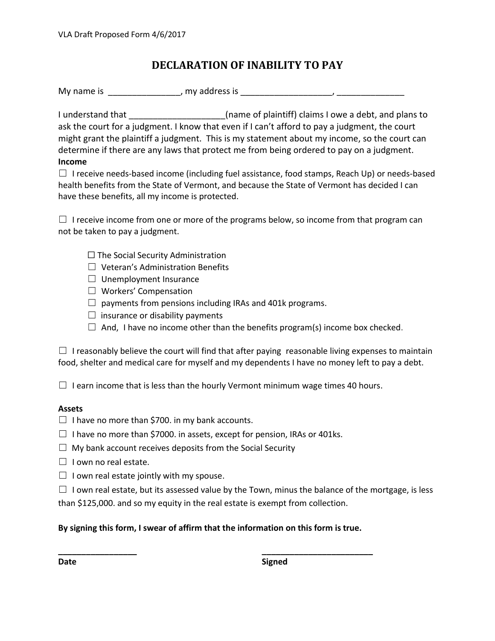## **DECLARATION OF INABILITY TO PAY**

My name is \_\_\_\_\_\_\_\_\_\_\_\_\_\_\_, my address is \_\_\_\_\_\_\_\_\_\_\_\_\_\_\_\_\_\_\_, \_\_\_\_\_\_\_\_\_\_\_\_\_\_

I understand that \_\_\_\_\_\_\_\_\_\_\_\_\_\_\_\_\_\_\_\_(name of plaintiff) claims I owe a debt, and plans to ask the court for a judgment. I know that even if I can't afford to pay a judgment, the court might grant the plaintiff a judgment. This is my statement about my income, so the court can determine if there are any laws that protect me from being ordered to pay on a judgment. **Income**

 $\Box$  I receive needs-based income (including fuel assistance, food stamps, Reach Up) or needs-based health benefits from the State of Vermont, and because the State of Vermont has decided I can have these benefits, all my income is protected.

 $\Box$  I receive income from one or more of the programs below, so income from that program can not be taken to pay a judgment.

- $\Box$  The Social Security Administration
- $\Box$  Veteran's Administration Benefits
- $\Box$  Unemployment Insurance
- ☐ Workers' Compensation
- $\Box$  payments from pensions including IRAs and 401k programs.
- $\Box$  insurance or disability payments
- $\Box$  And, I have no income other than the benefits program(s) income box checked.

 $\Box$  I reasonably believe the court will find that after paying reasonable living expenses to maintain food, shelter and medical care for myself and my dependents I have no money left to pay a debt.

 $\Box$  I earn income that is less than the hourly Vermont minimum wage times 40 hours.

## **Assets**

- $\Box$  I have no more than \$700. in my bank accounts.
- $\Box$  I have no more than \$7000. in assets, except for pension, IRAs or 401ks.
- $\Box$  My bank account receives deposits from the Social Security
- $\Box$  I own no real estate.
- $\Box$  I own real estate jointly with my spouse.
- $\Box$  I own real estate, but its assessed value by the Town, minus the balance of the mortgage, is less than \$125,000. and so my equity in the real estate is exempt from collection.

## **By signing this form, I swear of affirm that the information on this form is true.**

**\_\_\_\_\_\_\_\_\_\_\_\_\_\_\_\_\_ \_\_\_\_\_\_\_\_\_\_\_\_\_\_\_\_\_\_\_\_\_\_\_\_**